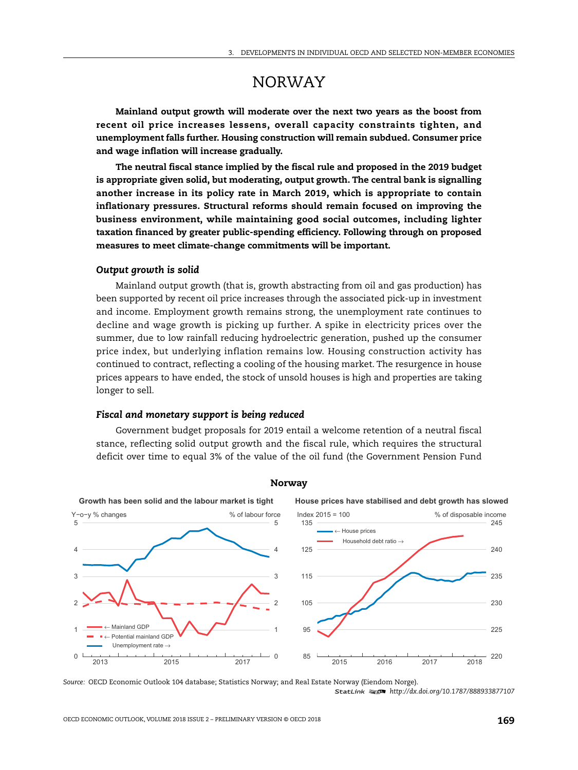# NORWAY

**Mainland output growth will moderate over the next two years as the boost from recent oil price increases lessens, overall capacity constraints tighten, and unemployment falls further. Housing construction will remain subdued. Consumer price and wage inflation will increase gradually.**

**The neutral fiscal stance implied by the fiscal rule and proposed in the 2019 budget is appropriate given solid, but moderating, output growth. The central bank is signalling another increase in its policy rate in March 2019, which is appropriate to contain inflationary pressures. Structural reforms should remain focused on improving the business environment, while maintaining good social outcomes, including lighter taxation financed by greater public-spending efficiency. Following through on proposed measures to meet climate-change commitments will be important.**

## *Output growth is solid*

Mainland output growth (that is, growth abstracting from oil and gas production) has been supported by recent oil price increases through the associated pick-up in investment and income. Employment growth remains strong, the unemployment rate continues to decline and wage growth is picking up further. A spike in electricity prices over the summer, due to low rainfall reducing hydroelectric generation, pushed up the consumer price index, but underlying inflation remains low. Housing construction activity has continued to contract, reflecting a cooling of the housing market. The resurgence in house prices appears to have ended, the stock of unsold houses is high and properties are taking longer to sell.

## *Fiscal and monetary support is being reduced*

Government budget proposals for 2019 entail a welcome retention of a neutral fiscal stance, reflecting solid output growth and the fiscal rule, which requires the structural deficit over time to equal 3% of the value of the oil fund (the Government Pension Fund



#### **Norway**

*Source:* OECD Economic Outlook 104 database; Statistics Norway; and Real Estate Norway (Eiendom Norge). 1 2 *http://dx.doi.org/10.1787/888933877107*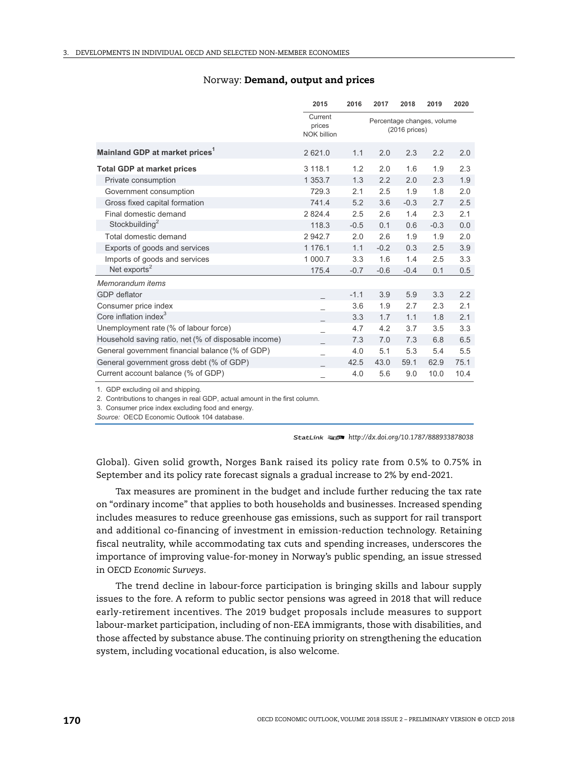|                                                      | 2015                                    | 2016                                           | 2017   | 2018   | 2019   | 2020 |
|------------------------------------------------------|-----------------------------------------|------------------------------------------------|--------|--------|--------|------|
|                                                      | Current<br>prices<br><b>NOK billion</b> | Percentage changes, volume<br>$(2016)$ prices) |        |        |        |      |
| Mainland GDP at market prices <sup>1</sup>           | 2621.0                                  | 1.1                                            | 2.0    | 2.3    | 2.2    | 2.0  |
| <b>Total GDP at market prices</b>                    | 3 1 1 8 . 1                             | 1.2                                            | 2.0    | 1.6    | 1.9    | 2.3  |
| Private consumption                                  | 1 353.7                                 | 1.3                                            | 2.2    | 2.0    | 2.3    | 1.9  |
| Government consumption                               | 729.3                                   | 2.1                                            | 2.5    | 1.9    | 1.8    | 2.0  |
| Gross fixed capital formation                        | 741.4                                   | 5.2                                            | 3.6    | $-0.3$ | 2.7    | 2.5  |
| Final domestic demand                                | 2 8 2 4 .4                              | 2.5                                            | 2.6    | 1.4    | 2.3    | 2.1  |
| Stockbuilding <sup>2</sup>                           | 118.3                                   | $-0.5$                                         | 0.1    | 0.6    | $-0.3$ | 0.0  |
| Total domestic demand                                | 2 942.7                                 | 2.0                                            | 2.6    | 1.9    | 1.9    | 2.0  |
| Exports of goods and services                        | 1 176.1                                 | 1.1                                            | $-0.2$ | 0.3    | 2.5    | 3.9  |
| Imports of goods and services                        | 1 000.7                                 | 3.3                                            | 1.6    | 1.4    | 2.5    | 3.3  |
| Net exports <sup>2</sup>                             | 175.4                                   | $-0.7$                                         | $-0.6$ | $-0.4$ | 0.1    | 0.5  |
| Memorandum items                                     |                                         |                                                |        |        |        |      |
| <b>GDP</b> deflator                                  |                                         | $-1.1$                                         | 3.9    | 5.9    | 3.3    | 2.2  |
| Consumer price index                                 |                                         | 3.6                                            | 1.9    | 2.7    | 2.3    | 2.1  |
| Core inflation index <sup>3</sup>                    |                                         | 3.3                                            | 1.7    | 1.1    | 1.8    | 2.1  |
| Unemployment rate (% of labour force)                |                                         | 4.7                                            | 4.2    | 3.7    | 3.5    | 3.3  |
| Household saving ratio, net (% of disposable income) |                                         | 7.3                                            | 7.0    | 7.3    | 6.8    | 6.5  |
| General government financial balance (% of GDP)      |                                         | 4.0                                            | 5.1    | 5.3    | 5.4    | 5.5  |
| General government gross debt (% of GDP)             |                                         | 42.5                                           | 43.0   | 59.1   | 62.9   | 75.1 |
| Current account balance (% of GDP)                   |                                         | 4.0                                            | 5.6    | 9.0    | 10.0   | 10.4 |

### Norway: **Demand, output and prices**

1. GDP excluding oil and shipping.

2. Contributions to changes in real GDP, actual amount in the first column.

3. Consumer price index excluding food and energy.

Source: OECD Economic Outlook 104 database.

1 2 *http://dx.doi.org/10.1787/888933878038*

Global). Given solid growth, Norges Bank raised its policy rate from 0.5% to 0.75% in September and its policy rate forecast signals a gradual increase to 2% by end-2021.

Tax measures are prominent in the budget and include further reducing the tax rate on "ordinary income" that applies to both households and businesses. Increased spending includes measures to reduce greenhouse gas emissions, such as support for rail transport and additional co-financing of investment in emission-reduction technology. Retaining fiscal neutrality, while accommodating tax cuts and spending increases, underscores the importance of improving value-for-money in Norway's public spending, an issue stressed in OECD *Economic Surveys*.

The trend decline in labour-force participation is bringing skills and labour supply issues to the fore. A reform to public sector pensions was agreed in 2018 that will reduce early-retirement incentives. The 2019 budget proposals include measures to support labour-market participation, including of non-EEA immigrants, those with disabilities, and those affected by substance abuse. The continuing priority on strengthening the education system, including vocational education, is also welcome.